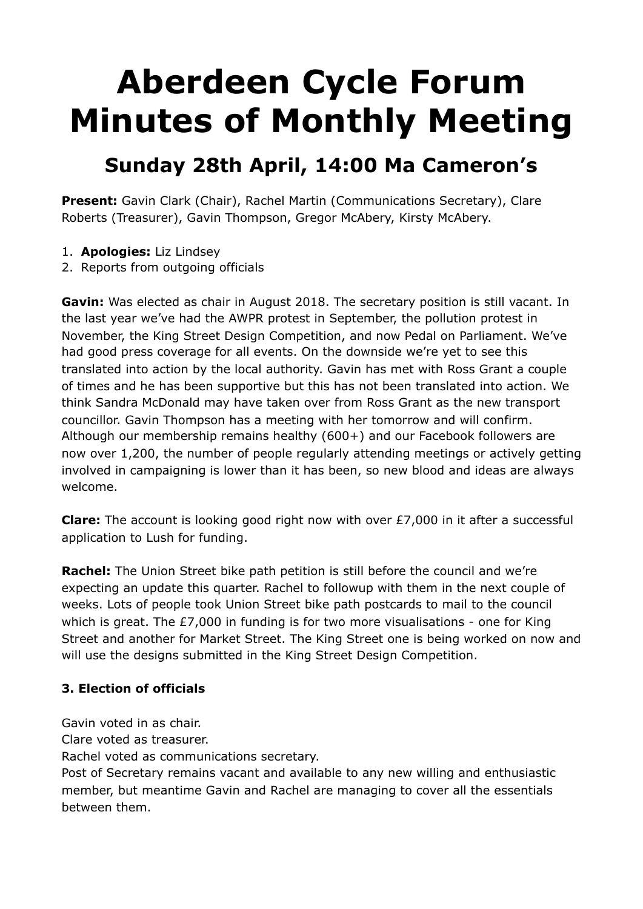# **Aberdeen Cycle Forum Minutes of Monthly Meeting**

# **Sunday 28th April, 14:00 Ma Cameron's**

**Present:** Gavin Clark (Chair), Rachel Martin (Communications Secretary), Clare Roberts (Treasurer), Gavin Thompson, Gregor McAbery, Kirsty McAbery.

- 1. **Apologies:** Liz Lindsey
- 2. Reports from outgoing officials

**Gavin:** Was elected as chair in August 2018. The secretary position is still vacant. In the last year we've had the AWPR protest in September, the pollution protest in November, the King Street Design Competition, and now Pedal on Parliament. We've had good press coverage for all events. On the downside we're yet to see this translated into action by the local authority. Gavin has met with Ross Grant a couple of times and he has been supportive but this has not been translated into action. We think Sandra McDonald may have taken over from Ross Grant as the new transport councillor. Gavin Thompson has a meeting with her tomorrow and will confirm. Although our membership remains healthy (600+) and our Facebook followers are now over 1,200, the number of people regularly attending meetings or actively getting involved in campaigning is lower than it has been, so new blood and ideas are always welcome.

**Clare:** The account is looking good right now with over £7,000 in it after a successful application to Lush for funding.

**Rachel:** The Union Street bike path petition is still before the council and we're expecting an update this quarter. Rachel to followup with them in the next couple of weeks. Lots of people took Union Street bike path postcards to mail to the council which is great. The £7,000 in funding is for two more visualisations - one for King Street and another for Market Street. The King Street one is being worked on now and will use the designs submitted in the King Street Design Competition.

#### **3. Election of officials**

Gavin voted in as chair.

Clare voted as treasurer.

Rachel voted as communications secretary.

Post of Secretary remains vacant and available to any new willing and enthusiastic member, but meantime Gavin and Rachel are managing to cover all the essentials between them.